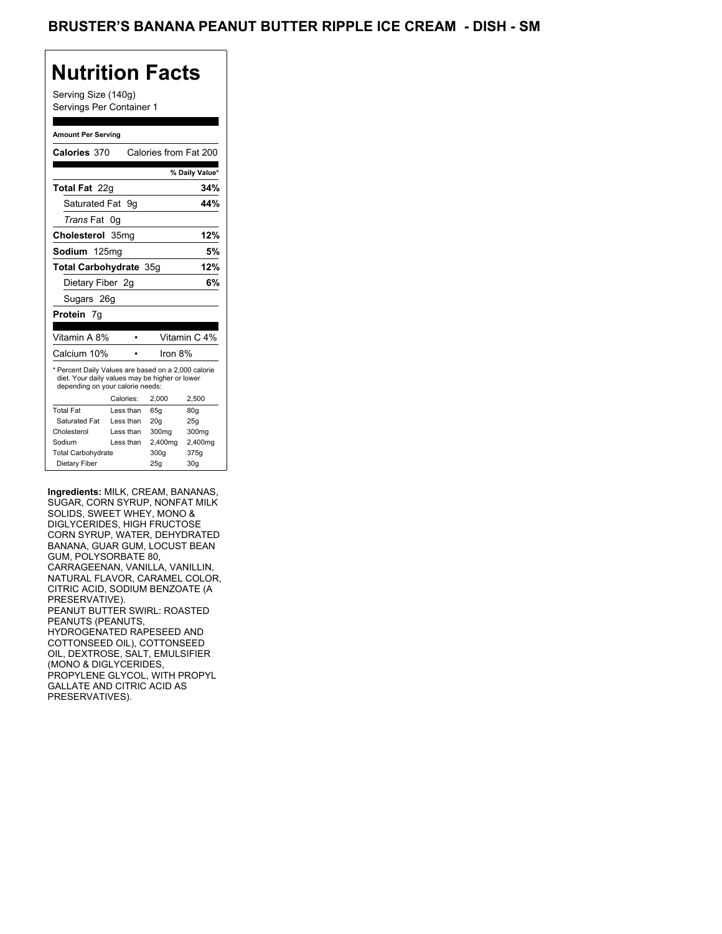Serving Size (140g) Servings Per Container 1

#### **Amount Per Serving**

| Calories 370                                                                                                                              |           | Calories from Fat 200 |                 |
|-------------------------------------------------------------------------------------------------------------------------------------------|-----------|-----------------------|-----------------|
|                                                                                                                                           |           |                       | % Daily Value*  |
| <b>Total Fat</b> 22q                                                                                                                      |           |                       | 34%             |
| Saturated Fat 9q                                                                                                                          |           |                       | 44%             |
| Trans Fat 0q                                                                                                                              |           |                       |                 |
| Cholesterol 35mg                                                                                                                          |           |                       | 12%             |
| Sodium 125ma                                                                                                                              |           |                       | 5%              |
| Total Carbohydrate 35q                                                                                                                    |           |                       | 12%             |
| Dietary Fiber 2q                                                                                                                          |           |                       | 6%              |
| Sugars 26g                                                                                                                                |           |                       |                 |
| <b>Protein</b> 7q                                                                                                                         |           |                       |                 |
|                                                                                                                                           |           |                       |                 |
| Vitamin A 8%                                                                                                                              |           |                       | Vitamin C 4%    |
| Calcium 10%                                                                                                                               |           | Iron 8%               |                 |
| * Percent Daily Values are based on a 2,000 calorie<br>diet. Your daily values may be higher or lower<br>depending on your calorie needs: |           |                       |                 |
|                                                                                                                                           | Calories: | 2,000                 | 2,500           |
| <b>Total Fat</b>                                                                                                                          | Less than | 65q                   | 80q             |
| Saturated Fat                                                                                                                             | Less than | 20q                   | 25q             |
| Cholesterol                                                                                                                               | Less than | 300mg                 | 300mg           |
| Sodium                                                                                                                                    | Less than | 2,400mg               | 2,400mg         |
| <b>Total Carbohydrate</b>                                                                                                                 |           | 300q                  | 375g            |
| Dietary Fiber                                                                                                                             |           | 25g                   | 30 <sub>g</sub> |

**Ingredients:** MILK, CREAM, BANANAS, SUGAR, CORN SYRUP, NONFAT MILK SOLIDS, SWEET WHEY, MONO & DIGLYCERIDES, HIGH FRUCTOSE CORN SYRUP, WATER, DEHYDRATED BANANA, GUAR GUM, LOCUST BEAN GUM, POLYSORBATE 80, CARRAGEENAN, VANILLA, VANILLIN, NATURAL FLAVOR, CARAMEL COLOR, CITRIC ACID, SODIUM BENZOATE (A PRESERVATIVE). PEANUT BUTTER SWIRL: ROASTED PEANUTS (PEANUTS, HYDROGENATED RAPESEED AND COTTONSEED OIL), COTTONSEED OIL, DEXTROSE, SALT, EMULSIFIER (MONO & DIGLYCERIDES, PROPYLENE GLYCOL, WITH PROPYL GALLATE AND CITRIC ACID AS PRESERVATIVES).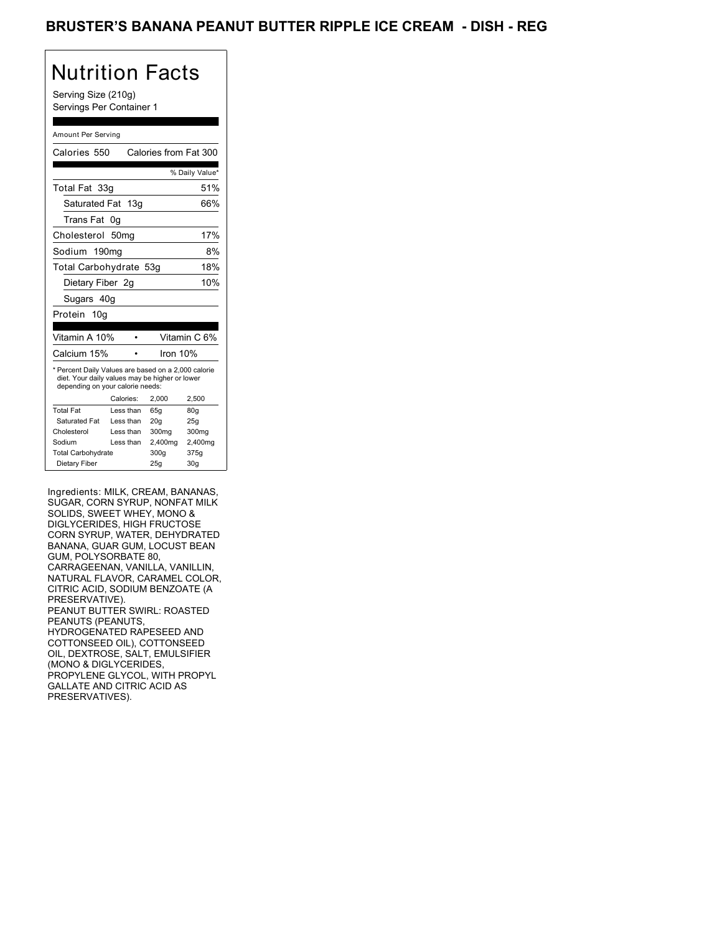Serving Size (210g) Servings Per Container 1

#### Amount Per Serving

| Calories 550                                                                                                                              |                  | Calories from Fat 300 |                |
|-------------------------------------------------------------------------------------------------------------------------------------------|------------------|-----------------------|----------------|
|                                                                                                                                           |                  |                       | % Daily Value* |
| Total Fat 33g                                                                                                                             |                  |                       | 51%            |
| Saturated Fat 13g                                                                                                                         |                  |                       | 66%            |
| Trans Fat                                                                                                                                 | 0g               |                       |                |
| Cholesterol                                                                                                                               | 50 <sub>mq</sub> |                       | 17%            |
| Sodium 190mg                                                                                                                              |                  |                       | 8%             |
| Total Carbohydrate 53g                                                                                                                    |                  |                       | 18%            |
| Dietary Fiber 2g                                                                                                                          |                  |                       | 10%            |
| Sugars 40g                                                                                                                                |                  |                       |                |
| Protein 10g                                                                                                                               |                  |                       |                |
| Vitamin A 10%                                                                                                                             |                  |                       | Vitamin C 6%   |
| Calcium 15%                                                                                                                               |                  | Iron 10%              |                |
| * Percent Daily Values are based on a 2,000 calorie<br>diet. Your daily values may be higher or lower<br>depending on your calorie needs: |                  |                       |                |
|                                                                                                                                           | Calories:        | 2.000                 | 2.500          |
| <b>Total Fat</b>                                                                                                                          | Less than        | 65a                   | 80q            |
| Saturated Fat                                                                                                                             | Less than        | 20q                   | 25q            |
| Cholesterol                                                                                                                               | Less than        | 300mg                 | 300mg          |
| Sodium                                                                                                                                    | Less than        | 2,400mg               | 2,400mg        |
| <b>Total Carbohydrate</b>                                                                                                                 |                  | 300g                  | 375g           |
| Dietary Fiber                                                                                                                             |                  | 25q                   | 30q            |

Ingredients: MILK, CREAM, BANANAS, SUGAR, CORN SYRUP, NONFAT MILK SOLIDS, SWEET WHEY, MONO & DIGLYCERIDES, HIGH FRUCTOSE CORN SYRUP, WATER, DEHYDRATED BANANA, GUAR GUM, LOCUST BEAN GUM, POLYSORBATE 80, CARRAGEENAN, VANILLA, VANILLIN, NATURAL FLAVOR, CARAMEL COLOR, CITRIC ACID, SODIUM BENZOATE (A PRESERVATIVE). PEANUT BUTTER SWIRL: ROASTED PEANUTS (PEANUTS, HYDROGENATED RAPESEED AND COTTONSEED OIL), COTTONSEED OIL, DEXTROSE, SALT, EMULSIFIER (MONO & DIGLYCERIDES, PROPYLENE GLYCOL, WITH PROPYL GALLATE AND CITRIC ACID AS PRESERVATIVES).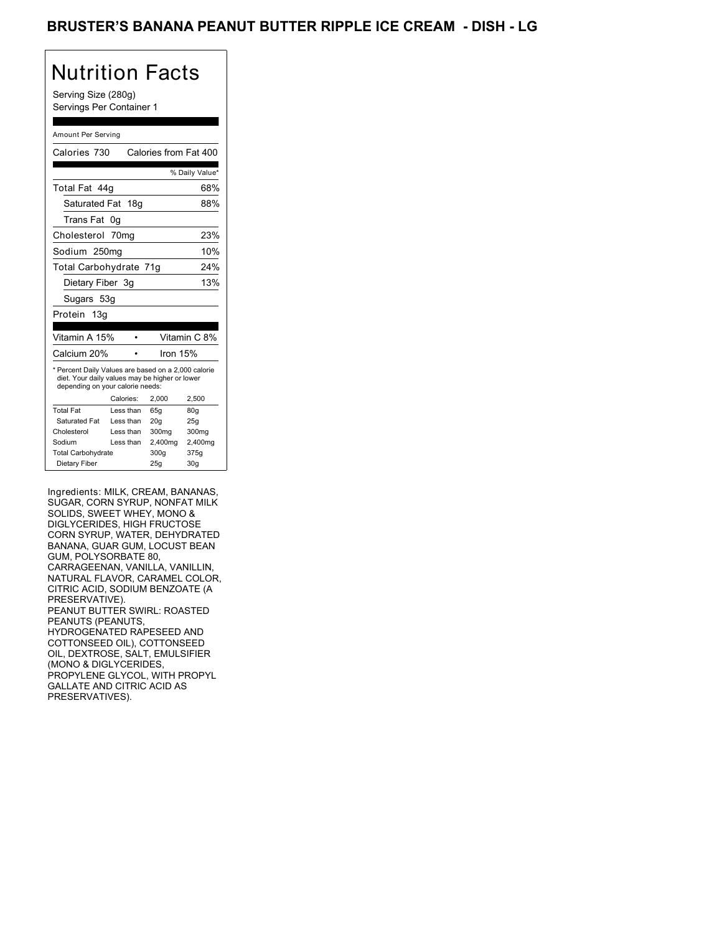Serving Size (280g) Servings Per Container 1

#### Amount Per Serving

| Calories 730                                                                                                                              |                  | Calories from Fat 400 |                |
|-------------------------------------------------------------------------------------------------------------------------------------------|------------------|-----------------------|----------------|
|                                                                                                                                           |                  |                       | % Daily Value* |
| Total Fat 44q                                                                                                                             |                  |                       | 68%            |
| Saturated Fat 18g                                                                                                                         |                  |                       | 88%            |
| Trans Fat                                                                                                                                 | 0g               |                       |                |
| Cholesterol                                                                                                                               | 70 <sub>mq</sub> |                       | 23%            |
| Sodium 250mg                                                                                                                              |                  |                       | 10%            |
| Total Carbohydrate 71g                                                                                                                    |                  |                       | 24%            |
| Dietary Fiber 3g                                                                                                                          |                  |                       | 13%            |
| Sugars 53g                                                                                                                                |                  |                       |                |
| Protein<br>13q                                                                                                                            |                  |                       |                |
| Vitamin A 15%                                                                                                                             |                  |                       | Vitamin C 8%   |
|                                                                                                                                           |                  |                       |                |
| Calcium 20%                                                                                                                               |                  | Iron $15%$            |                |
| * Percent Daily Values are based on a 2,000 calorie<br>diet. Your daily values may be higher or lower<br>depending on your calorie needs: |                  |                       |                |
|                                                                                                                                           | Calories:        | 2,000                 | 2,500          |
| <b>Total Fat</b>                                                                                                                          | Less than        | 65q                   | 80q            |
| Saturated Fat                                                                                                                             | Less than        | 20q                   | 25q            |
| Cholesterol                                                                                                                               | Less than        | 300mg                 | 300mg          |
| Sodium                                                                                                                                    | Less than        | 2,400mg               | 2,400mg        |
| <b>Total Carbohydrate</b>                                                                                                                 |                  | 300g                  | 375g           |

Ingredients: MILK, CREAM, BANANAS, SUGAR, CORN SYRUP, NONFAT MILK SOLIDS, SWEET WHEY, MONO & DIGLYCERIDES, HIGH FRUCTOSE CORN SYRUP, WATER, DEHYDRATED BANANA, GUAR GUM, LOCUST BEAN GUM, POLYSORBATE 80, CARRAGEENAN, VANILLA, VANILLIN, NATURAL FLAVOR, CARAMEL COLOR, CITRIC ACID, SODIUM BENZOATE (A PRESERVATIVE). PEANUT BUTTER SWIRL: ROASTED PEANUTS (PEANUTS, HYDROGENATED RAPESEED AND COTTONSEED OIL), COTTONSEED OIL, DEXTROSE, SALT, EMULSIFIER (MONO & DIGLYCERIDES, PROPYLENE GLYCOL, WITH PROPYL GALLATE AND CITRIC ACID AS PRESERVATIVES).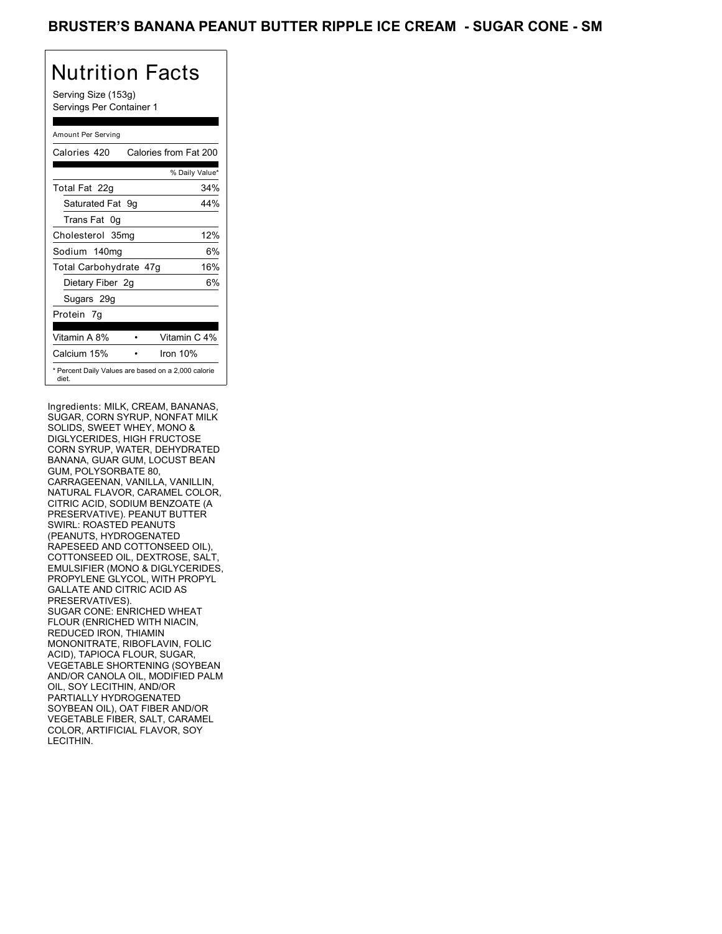Serving Size (153g) Servings Per Container 1

### Amount Per Serving

| Calories 420           | Calories from Fat 200                               |
|------------------------|-----------------------------------------------------|
|                        | % Daily Value*                                      |
| Total Fat 22g          | 34%                                                 |
| Saturated Fat 9q       | 44%                                                 |
| Trans Fat 0q           |                                                     |
| Cholesterol 35mg       | 12%                                                 |
| Sodium 140mg           | 6%                                                  |
| Total Carbohydrate 47g | 16%                                                 |
| Dietary Fiber 2g       | 6%                                                  |
| Sugars 29g             |                                                     |
| Protein 7q             |                                                     |
| Vitamin A 8%           | Vitamin C 4%                                        |
| Calcium 15%            | Iron $10%$                                          |
| diet.                  | * Percent Daily Values are based on a 2,000 calorie |

Ingredients: MILK, CREAM, BANANAS, SUGAR, CORN SYRUP, NONFAT MILK SOLIDS, SWEET WHEY, MONO & DIGLYCERIDES, HIGH FRUCTOSE CORN SYRUP, WATER, DEHYDRATED BANANA, GUAR GUM, LOCUST BEAN GUM, POLYSORBATE 80, CARRAGEENAN, VANILLA, VANILLIN, NATURAL FLAVOR, CARAMEL COLOR, CITRIC ACID, SODIUM BENZOATE (A PRESERVATIVE). PEANUT BUTTER SWIRL: ROASTED PEANUTS (PEANUTS, HYDROGENATED RAPESEED AND COTTONSEED OIL), COTTONSEED OIL, DEXTROSE, SALT, EMULSIFIER (MONO & DIGLYCERIDES, PROPYLENE GLYCOL, WITH PROPYL GALLATE AND CITRIC ACID AS PRESERVATIVES). SUGAR CONE: ENRICHED WHEAT FLOUR (ENRICHED WITH NIACIN, REDUCED IRON, THIAMIN MONONITRATE, RIBOFLAVIN, FOLIC ACID), TAPIOCA FLOUR, SUGAR, VEGETABLE SHORTENING (SOYBEAN AND/OR CANOLA OIL, MODIFIED PALM OIL, SOY LECITHIN, AND/OR PARTIALLY HYDROGENATED SOYBEAN OIL), OAT FIBER AND/OR VEGETABLE FIBER, SALT, CARAMEL COLOR, ARTIFICIAL FLAVOR, SOY LECITHIN.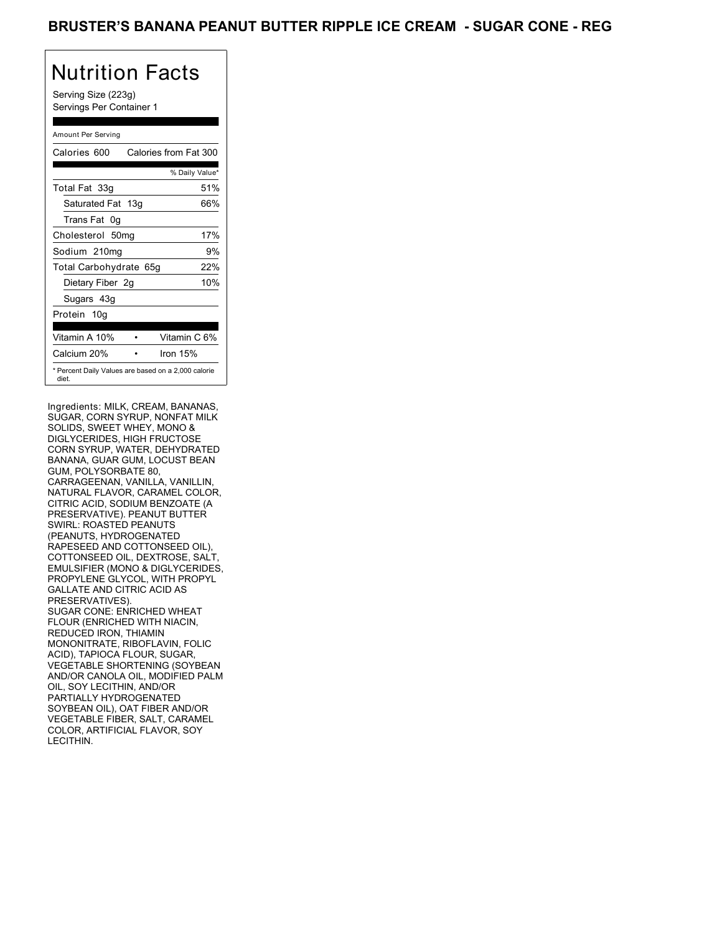Serving Size (223g) Servings Per Container 1

### Amount Per Serving

| Calories 600                                                 | Calories from Fat 300 |
|--------------------------------------------------------------|-----------------------|
|                                                              | % Daily Value*        |
| Total Fat 33g                                                | 51%                   |
| Saturated Fat 13g                                            | 66%                   |
| Trans Fat 0q                                                 |                       |
| Cholesterol 50mg                                             | 17%                   |
| Sodium 210mg                                                 | 9%                    |
| Total Carbohydrate 65g                                       | 22%                   |
| Dietary Fiber 2g                                             | 10%                   |
| Sugars 43g                                                   |                       |
| Protein 10g                                                  |                       |
| Vitamin A 10%                                                | Vitamin C 6%          |
| Calcium 20%                                                  | Iron $15%$            |
| * Percent Daily Values are based on a 2,000 calorie<br>diet. |                       |

Ingredients: MILK, CREAM, BANANAS, SUGAR, CORN SYRUP, NONFAT MILK SOLIDS, SWEET WHEY, MONO & DIGLYCERIDES, HIGH FRUCTOSE CORN SYRUP, WATER, DEHYDRATED BANANA, GUAR GUM, LOCUST BEAN GUM, POLYSORBATE 80, CARRAGEENAN, VANILLA, VANILLIN, NATURAL FLAVOR, CARAMEL COLOR, CITRIC ACID, SODIUM BENZOATE (A PRESERVATIVE). PEANUT BUTTER SWIRL: ROASTED PEANUTS (PEANUTS, HYDROGENATED RAPESEED AND COTTONSEED OIL), COTTONSEED OIL, DEXTROSE, SALT, EMULSIFIER (MONO & DIGLYCERIDES, PROPYLENE GLYCOL, WITH PROPYL GALLATE AND CITRIC ACID AS PRESERVATIVES). SUGAR CONE: ENRICHED WHEAT FLOUR (ENRICHED WITH NIACIN, REDUCED IRON, THIAMIN MONONITRATE, RIBOFLAVIN, FOLIC ACID), TAPIOCA FLOUR, SUGAR, VEGETABLE SHORTENING (SOYBEAN AND/OR CANOLA OIL, MODIFIED PALM OIL, SOY LECITHIN, AND/OR PARTIALLY HYDROGENATED SOYBEAN OIL), OAT FIBER AND/OR VEGETABLE FIBER, SALT, CARAMEL COLOR, ARTIFICIAL FLAVOR, SOY LECITHIN.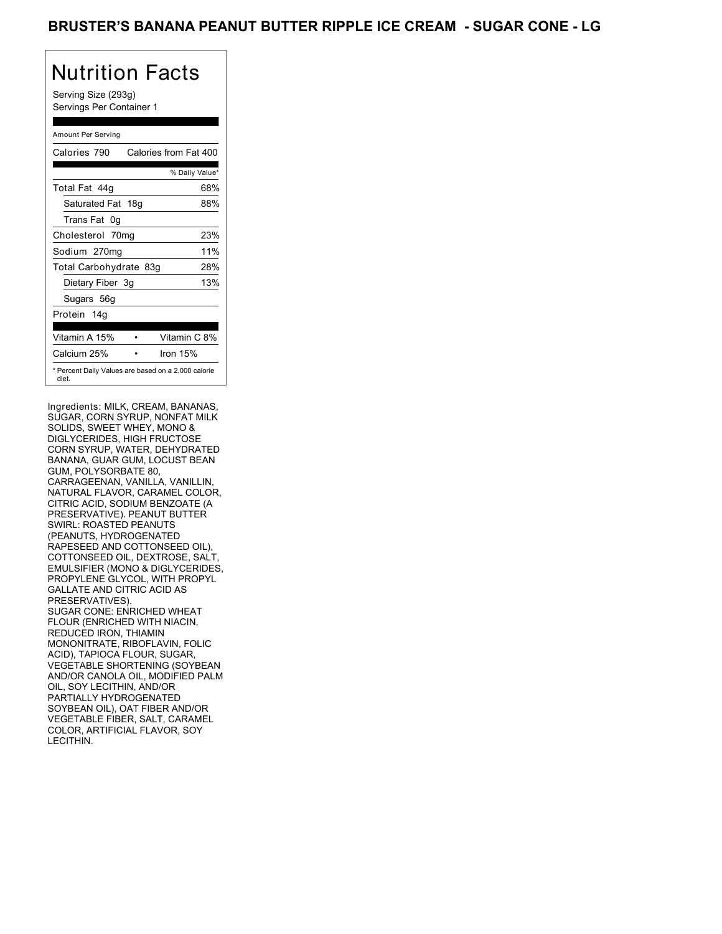Serving Size (293g) Servings Per Container 1

### Amount Per Serving

| Calories 790           | Calories from Fat 400                               |
|------------------------|-----------------------------------------------------|
|                        | % Daily Value*                                      |
| Total Fat 44q          | 68%                                                 |
| Saturated Fat 18g      | 88%                                                 |
| Trans Fat 0g           |                                                     |
| Cholesterol 70mg       | 23%                                                 |
| Sodium 270mg           | 11%                                                 |
| Total Carbohydrate 83g | 28%                                                 |
| Dietary Fiber 3g       | 13%                                                 |
| Sugars 56g             |                                                     |
| Protein 14q            |                                                     |
| Vitamin A 15%          | Vitamin C 8%                                        |
| Calcium 25%            | Iron 15%                                            |
| diet.                  | * Percent Daily Values are based on a 2,000 calorie |

Ingredients: MILK, CREAM, BANANAS, SUGAR, CORN SYRUP, NONFAT MILK SOLIDS, SWEET WHEY, MONO & DIGLYCERIDES, HIGH FRUCTOSE CORN SYRUP, WATER, DEHYDRATED BANANA, GUAR GUM, LOCUST BEAN GUM, POLYSORBATE 80, CARRAGEENAN, VANILLA, VANILLIN, NATURAL FLAVOR, CARAMEL COLOR, CITRIC ACID, SODIUM BENZOATE (A PRESERVATIVE). PEANUT BUTTER SWIRL: ROASTED PEANUTS (PEANUTS, HYDROGENATED RAPESEED AND COTTONSEED OIL), COTTONSEED OIL, DEXTROSE, SALT, EMULSIFIER (MONO & DIGLYCERIDES, PROPYLENE GLYCOL, WITH PROPYL GALLATE AND CITRIC ACID AS PRESERVATIVES). SUGAR CONE: ENRICHED WHEAT FLOUR (ENRICHED WITH NIACIN, REDUCED IRON, THIAMIN MONONITRATE, RIBOFLAVIN, FOLIC ACID), TAPIOCA FLOUR, SUGAR, VEGETABLE SHORTENING (SOYBEAN AND/OR CANOLA OIL, MODIFIED PALM OIL, SOY LECITHIN, AND/OR PARTIALLY HYDROGENATED SOYBEAN OIL), OAT FIBER AND/OR VEGETABLE FIBER, SALT, CARAMEL COLOR, ARTIFICIAL FLAVOR, SOY LECITHIN.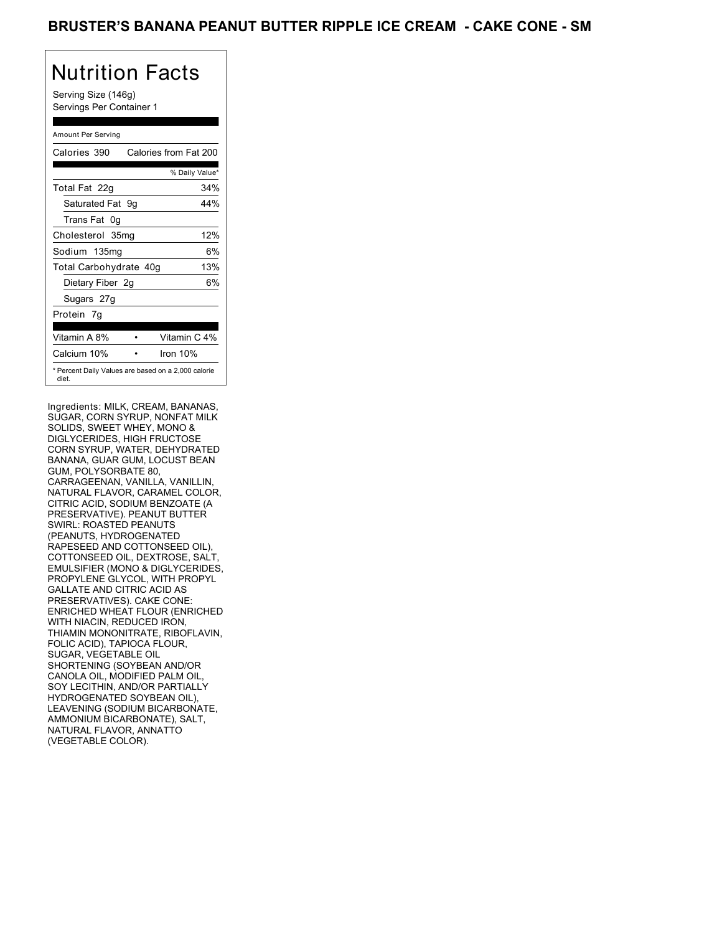Serving Size (146g) Servings Per Container 1

### Amount Per Serving

| Calories 390           | Calories from Fat 200                               |
|------------------------|-----------------------------------------------------|
|                        | % Daily Value*                                      |
| Total Fat 22g          | 34%                                                 |
| Saturated Fat 9g       | 44%                                                 |
| Trans Fat 0g           |                                                     |
| Cholesterol 35mg       | 12%                                                 |
| Sodium 135mg           | 6%                                                  |
| Total Carbohydrate 40g | 13%                                                 |
| Dietary Fiber 2g       | 6%                                                  |
| Sugars 27g             |                                                     |
| Protein 7q             |                                                     |
| Vitamin A 8%           | Vitamin C 4%                                        |
| Calcium 10%            | Iron $10%$                                          |
| diet.                  | * Percent Daily Values are based on a 2,000 calorie |

Ingredients: MILK, CREAM, BANANAS, SUGAR, CORN SYRUP, NONFAT MILK SOLIDS, SWEET WHEY, MONO & DIGLYCERIDES, HIGH FRUCTOSE CORN SYRUP, WATER, DEHYDRATED BANANA, GUAR GUM, LOCUST BEAN GUM, POLYSORBATE 80, CARRAGEENAN, VANILLA, VANILLIN, NATURAL FLAVOR, CARAMEL COLOR, CITRIC ACID, SODIUM BENZOATE (A PRESERVATIVE). PEANUT BUTTER SWIRL: ROASTED PEANUTS (PEANUTS, HYDROGENATED RAPESEED AND COTTONSEED OIL), COTTONSEED OIL, DEXTROSE, SALT, EMULSIFIER (MONO & DIGLYCERIDES, PROPYLENE GLYCOL, WITH PROPYL GALLATE AND CITRIC ACID AS PRESERVATIVES). CAKE CONE: ENRICHED WHEAT FLOUR (ENRICHED WITH NIACIN, REDUCED IRON, THIAMIN MONONITRATE, RIBOFLAVIN, FOLIC ACID), TAPIOCA FLOUR, SUGAR, VEGETABLE OIL SHORTENING (SOYBEAN AND/OR CANOLA OIL, MODIFIED PALM OIL, SOY LECITHIN, AND/OR PARTIALLY HYDROGENATED SOYBEAN OIL), LEAVENING (SODIUM BICARBONATE, AMMONIUM BICARBONATE), SALT, NATURAL FLAVOR, ANNATTO (VEGETABLE COLOR).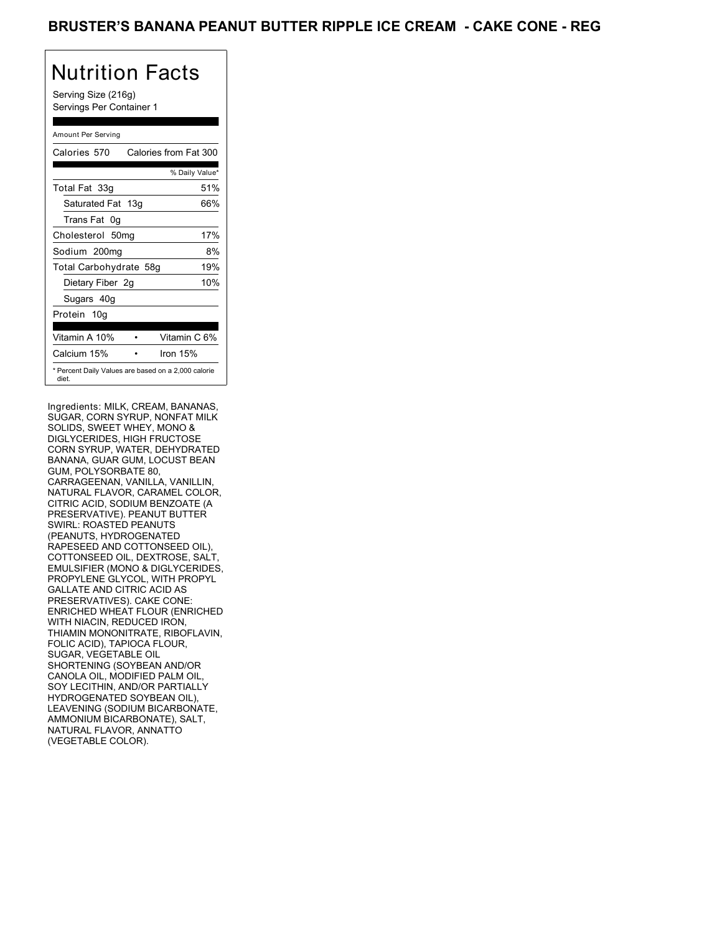Serving Size (216g) Servings Per Container 1

### Amount Per Serving

| Calories 570           | Calories from Fat 300                               |
|------------------------|-----------------------------------------------------|
|                        | % Daily Value*                                      |
| Total Fat 33g          | 51%                                                 |
| Saturated Fat 13g      | 66%                                                 |
| Trans Fat 0q           |                                                     |
| Cholesterol 50mg       | 17%                                                 |
| Sodium 200mg           | 8%                                                  |
| Total Carbohydrate 58g | 19%                                                 |
| Dietary Fiber 2g       | 10%                                                 |
| Sugars 40g             |                                                     |
| Protein 10g            |                                                     |
|                        |                                                     |
| Vitamin A 10%          | Vitamin C 6%                                        |
| Calcium 15%            | Iron 15%                                            |
| diet.                  | * Percent Daily Values are based on a 2,000 calorie |

Ingredients: MILK, CREAM, BANANAS, SUGAR, CORN SYRUP, NONFAT MILK SOLIDS, SWEET WHEY, MONO & DIGLYCERIDES, HIGH FRUCTOSE CORN SYRUP, WATER, DEHYDRATED BANANA, GUAR GUM, LOCUST BEAN GUM, POLYSORBATE 80, CARRAGEENAN, VANILLA, VANILLIN, NATURAL FLAVOR, CARAMEL COLOR, CITRIC ACID, SODIUM BENZOATE (A PRESERVATIVE). PEANUT BUTTER SWIRL: ROASTED PEANUTS (PEANUTS, HYDROGENATED RAPESEED AND COTTONSEED OIL), COTTONSEED OIL, DEXTROSE, SALT, EMULSIFIER (MONO & DIGLYCERIDES, PROPYLENE GLYCOL, WITH PROPYL GALLATE AND CITRIC ACID AS PRESERVATIVES). CAKE CONE: ENRICHED WHEAT FLOUR (ENRICHED WITH NIACIN, REDUCED IRON, THIAMIN MONONITRATE, RIBOFLAVIN, FOLIC ACID), TAPIOCA FLOUR, SUGAR, VEGETABLE OIL SHORTENING (SOYBEAN AND/OR CANOLA OIL, MODIFIED PALM OIL, SOY LECITHIN, AND/OR PARTIALLY HYDROGENATED SOYBEAN OIL), LEAVENING (SODIUM BICARBONATE, AMMONIUM BICARBONATE), SALT, NATURAL FLAVOR, ANNATTO (VEGETABLE COLOR).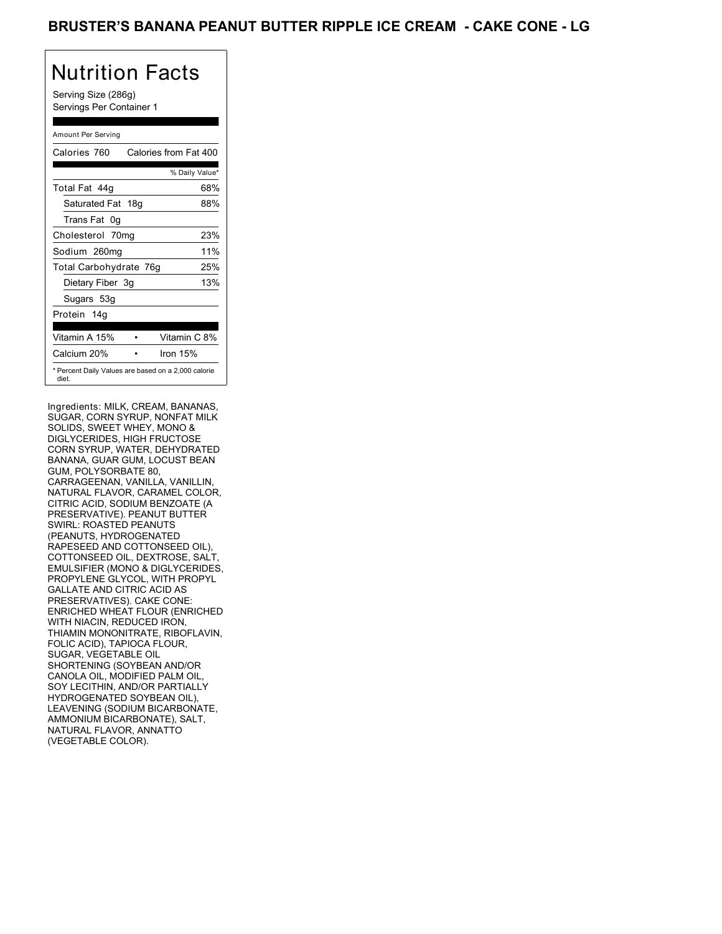Serving Size (286g) Servings Per Container 1

### Amount Per Serving

| Calories 760           | Calories from Fat 400                               |
|------------------------|-----------------------------------------------------|
|                        | % Daily Value*                                      |
| Total Fat 44q          | 68%                                                 |
| Saturated Fat 18g      | 88%                                                 |
| Trans Fat 0g           |                                                     |
| Cholesterol 70mg       | 23%                                                 |
| Sodium 260mg           | 11%                                                 |
| Total Carbohydrate 76g | 25%                                                 |
| Dietary Fiber 3g       | 13%                                                 |
| Sugars 53g             |                                                     |
| Protein 14q            |                                                     |
| Vitamin A 15%          | Vitamin C 8%                                        |
| Calcium 20%            | Iron $15%$                                          |
| diet.                  | * Percent Daily Values are based on a 2,000 calorie |

Ingredients: MILK, CREAM, BANANAS, SUGAR, CORN SYRUP, NONFAT MILK SOLIDS, SWEET WHEY, MONO & DIGLYCERIDES, HIGH FRUCTOSE CORN SYRUP, WATER, DEHYDRATED BANANA, GUAR GUM, LOCUST BEAN GUM, POLYSORBATE 80, CARRAGEENAN, VANILLA, VANILLIN, NATURAL FLAVOR, CARAMEL COLOR, CITRIC ACID, SODIUM BENZOATE (A PRESERVATIVE). PEANUT BUTTER SWIRL: ROASTED PEANUTS (PEANUTS, HYDROGENATED RAPESEED AND COTTONSEED OIL), COTTONSEED OIL, DEXTROSE, SALT, EMULSIFIER (MONO & DIGLYCERIDES, PROPYLENE GLYCOL, WITH PROPYL GALLATE AND CITRIC ACID AS PRESERVATIVES). CAKE CONE: ENRICHED WHEAT FLOUR (ENRICHED WITH NIACIN, REDUCED IRON, THIAMIN MONONITRATE, RIBOFLAVIN, FOLIC ACID), TAPIOCA FLOUR, SUGAR, VEGETABLE OIL SHORTENING (SOYBEAN AND/OR CANOLA OIL, MODIFIED PALM OIL, SOY LECITHIN, AND/OR PARTIALLY HYDROGENATED SOYBEAN OIL), LEAVENING (SODIUM BICARBONATE, AMMONIUM BICARBONATE), SALT, NATURAL FLAVOR, ANNATTO (VEGETABLE COLOR).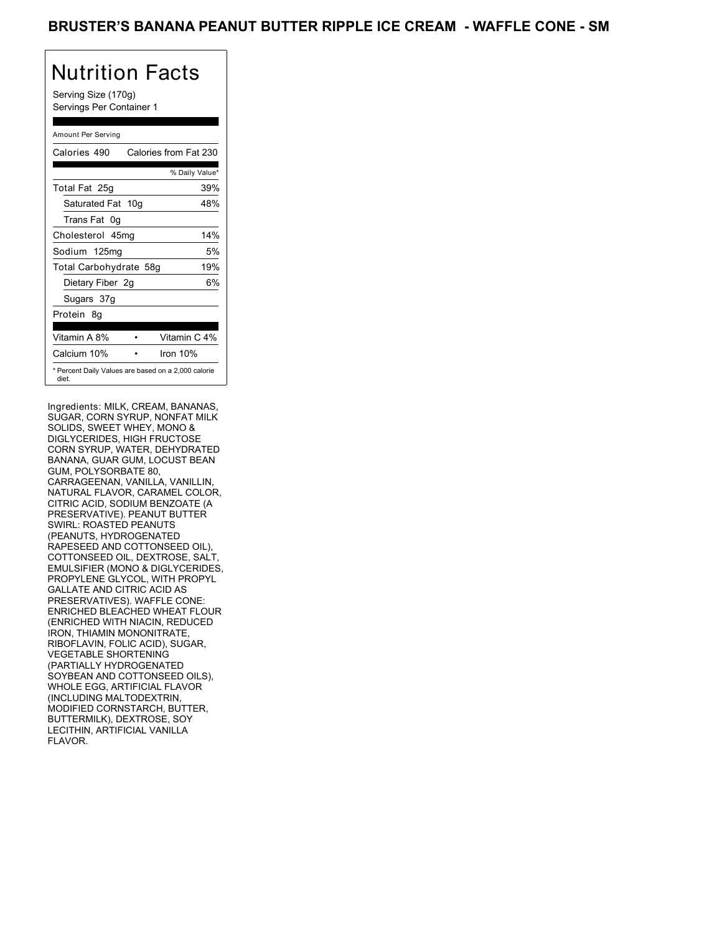Serving Size (170g) Servings Per Container 1

### Amount Per Serving

| Calories 490                                                 |  | Calories from Fat 230 |
|--------------------------------------------------------------|--|-----------------------|
|                                                              |  | % Daily Value*        |
| Total Fat 25g                                                |  | 39%                   |
| Saturated Fat 10g                                            |  | 48%                   |
| Trans Fat 0q                                                 |  |                       |
| Cholesterol 45mg                                             |  | 14%                   |
| Sodium 125mg                                                 |  | 5%                    |
| Total Carbohydrate 58g                                       |  | 19%                   |
| Dietary Fiber 2g                                             |  | 6%                    |
| Sugars 37g                                                   |  |                       |
| Protein 8q                                                   |  |                       |
| Vitamin A 8%                                                 |  | Vitamin C 4%          |
| Calcium 10%                                                  |  | Iron $10%$            |
| * Percent Daily Values are based on a 2,000 calorie<br>diet. |  |                       |

Ingredients: MILK, CREAM, BANANAS, SUGAR, CORN SYRUP, NONFAT MILK SOLIDS, SWEET WHEY, MONO & DIGLYCERIDES, HIGH FRUCTOSE CORN SYRUP, WATER, DEHYDRATED BANANA, GUAR GUM, LOCUST BEAN GUM, POLYSORBATE 80, CARRAGEENAN, VANILLA, VANILLIN, NATURAL FLAVOR, CARAMEL COLOR, CITRIC ACID, SODIUM BENZOATE (A PRESERVATIVE). PEANUT BUTTER SWIRL: ROASTED PEANUTS (PEANUTS, HYDROGENATED RAPESEED AND COTTONSEED OIL), COTTONSEED OIL, DEXTROSE, SALT, EMULSIFIER (MONO & DIGLYCERIDES, PROPYLENE GLYCOL, WITH PROPYL GALLATE AND CITRIC ACID AS PRESERVATIVES). WAFFLE CONE: ENRICHED BLEACHED WHEAT FLOUR (ENRICHED WITH NIACIN, REDUCED IRON, THIAMIN MONONITRATE RIBOFLAVIN, FOLIC ACID), SUGAR, VEGETABLE SHORTENING (PARTIALLY HYDROGENATED SOYBEAN AND COTTONSEED OILS), WHOLE EGG, ARTIFICIAL FLAVOR (INCLUDING MALTODEXTRIN, MODIFIED CORNSTARCH, BUTTER, BUTTERMILK), DEXTROSE, SOY LECITHIN, ARTIFICIAL VANILLA FLAVOR.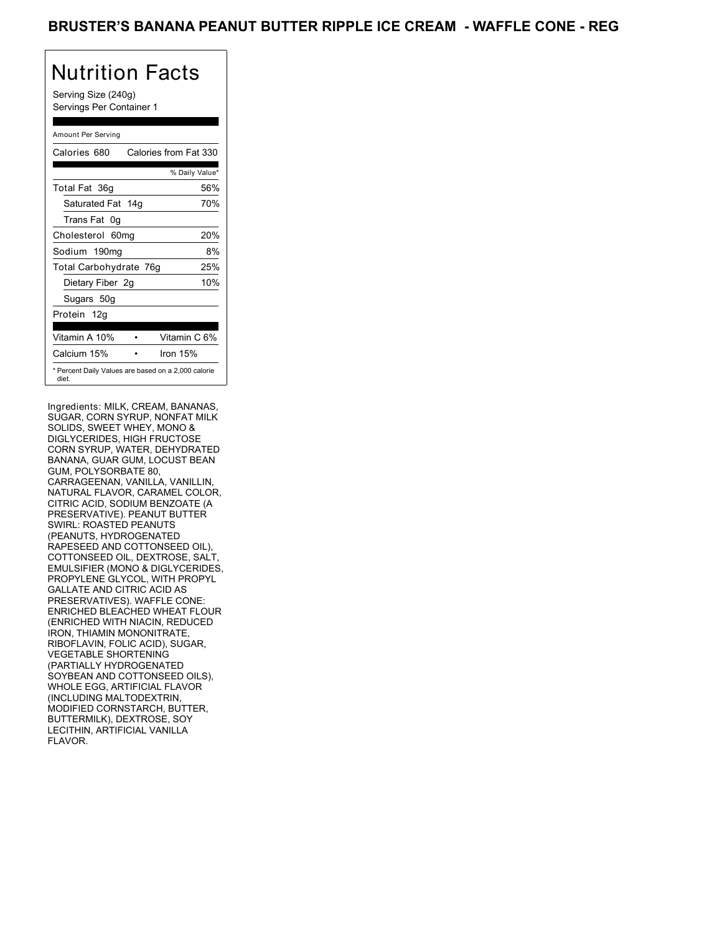Serving Size (240g) Servings Per Container 1

### Amount Per Serving

| Calories 680           | Calories from Fat 330                               |
|------------------------|-----------------------------------------------------|
|                        | % Daily Value*                                      |
| Total Fat 36g          | 56%                                                 |
| Saturated Fat 14g      | 70%                                                 |
| Trans Fat 0g           |                                                     |
| Cholesterol 60mg       | 20%                                                 |
| Sodium 190mg           | 8%                                                  |
| Total Carbohydrate 76g | 25%                                                 |
| Dietary Fiber 2g       | 10%                                                 |
| Sugars 50g             |                                                     |
| Protein 12g            |                                                     |
| Vitamin A 10%          | Vitamin C 6%                                        |
| Calcium 15%            | Iron $15%$                                          |
| diet.                  | * Percent Daily Values are based on a 2,000 calorie |

Ingredients: MILK, CREAM, BANANAS, SUGAR, CORN SYRUP, NONFAT MILK SOLIDS, SWEET WHEY, MONO & DIGLYCERIDES, HIGH FRUCTOSE CORN SYRUP, WATER, DEHYDRATED BANANA, GUAR GUM, LOCUST BEAN GUM, POLYSORBATE 80, CARRAGEENAN, VANILLA, VANILLIN, NATURAL FLAVOR, CARAMEL COLOR, CITRIC ACID, SODIUM BENZOATE (A PRESERVATIVE). PEANUT BUTTER SWIRL: ROASTED PEANUTS (PEANUTS, HYDROGENATED RAPESEED AND COTTONSEED OIL), COTTONSEED OIL, DEXTROSE, SALT, EMULSIFIER (MONO & DIGLYCERIDES, PROPYLENE GLYCOL, WITH PROPYL GALLATE AND CITRIC ACID AS PRESERVATIVES). WAFFLE CONE: ENRICHED BLEACHED WHEAT FLOUR (ENRICHED WITH NIACIN, REDUCED IRON, THIAMIN MONONITRATE RIBOFLAVIN, FOLIC ACID), SUGAR, VEGETABLE SHORTENING (PARTIALLY HYDROGENATED SOYBEAN AND COTTONSEED OILS), WHOLE EGG, ARTIFICIAL FLAVOR (INCLUDING MALTODEXTRIN, MODIFIED CORNSTARCH, BUTTER, BUTTERMILK), DEXTROSE, SOY LECITHIN, ARTIFICIAL VANILLA FLAVOR.